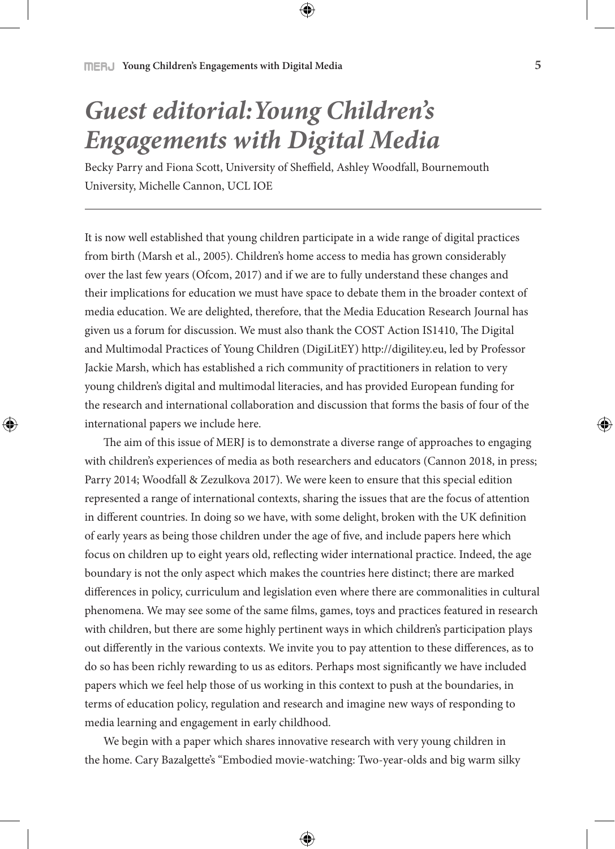## *Guest editorial:Young Children's Engagements with Digital Media*

Becky Parry and Fiona Scott, University of Sheffield, Ashley Woodfall, Bournemouth University, Michelle Cannon, UCL IOE

It is now well established that young children participate in a wide range of digital practices from birth (Marsh et al., 2005). Children's home access to media has grown considerably over the last few years (Ofcom, 2017) and if we are to fully understand these changes and their implications for education we must have space to debate them in the broader context of media education. We are delighted, therefore, that the Media Education Research Journal has given us a forum for discussion. We must also thank the COST Action IS1410, The Digital and Multimodal Practices of Young Children (DigiLitEY) http://digilitey.eu, led by Professor Jackie Marsh, which has established a rich community of practitioners in relation to very young children's digital and multimodal literacies, and has provided European funding for the research and international collaboration and discussion that forms the basis of four of the international papers we include here.

The aim of this issue of MERJ is to demonstrate a diverse range of approaches to engaging with children's experiences of media as both researchers and educators (Cannon 2018, in press; Parry 2014; Woodfall & Zezulkova 2017). We were keen to ensure that this special edition represented a range of international contexts, sharing the issues that are the focus of attention in different countries. In doing so we have, with some delight, broken with the UK definition of early years as being those children under the age of five, and include papers here which focus on children up to eight years old, reflecting wider international practice. Indeed, the age boundary is not the only aspect which makes the countries here distinct; there are marked differences in policy, curriculum and legislation even where there are commonalities in cultural phenomena. We may see some of the same films, games, toys and practices featured in research with children, but there are some highly pertinent ways in which children's participation plays out differently in the various contexts. We invite you to pay attention to these differences, as to do so has been richly rewarding to us as editors. Perhaps most significantly we have included papers which we feel help those of us working in this context to push at the boundaries, in terms of education policy, regulation and research and imagine new ways of responding to media learning and engagement in early childhood.

We begin with a paper which shares innovative research with very young children in the home. Cary Bazalgette's "Embodied movie-watching: Two-year-olds and big warm silky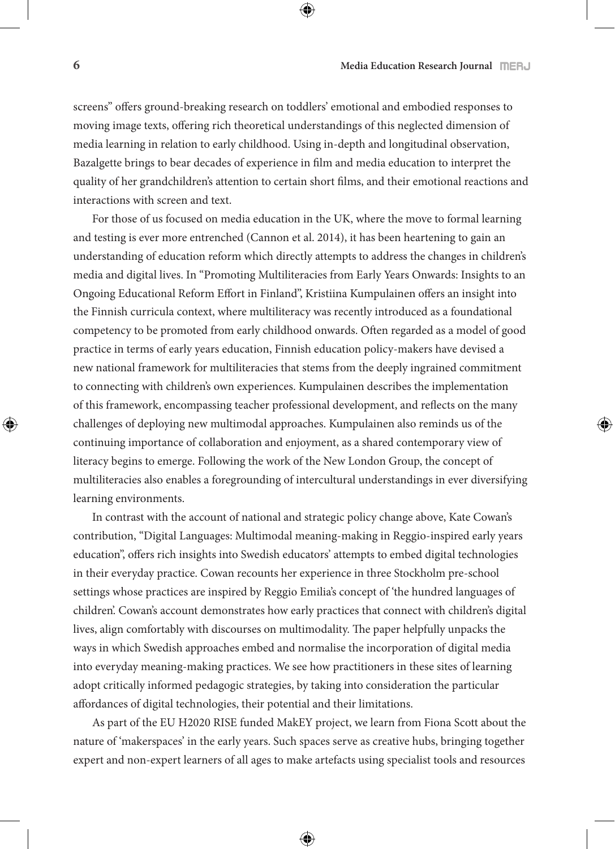screens" offers ground-breaking research on toddlers' emotional and embodied responses to moving image texts, offering rich theoretical understandings of this neglected dimension of media learning in relation to early childhood. Using in-depth and longitudinal observation, Bazalgette brings to bear decades of experience in film and media education to interpret the quality of her grandchildren's attention to certain short films, and their emotional reactions and interactions with screen and text.

For those of us focused on media education in the UK, where the move to formal learning and testing is ever more entrenched (Cannon et al. 2014), it has been heartening to gain an understanding of education reform which directly attempts to address the changes in children's media and digital lives. In "Promoting Multiliteracies from Early Years Onwards: Insights to an Ongoing Educational Reform Effort in Finland", Kristiina Kumpulainen offers an insight into the Finnish curricula context, where multiliteracy was recently introduced as a foundational competency to be promoted from early childhood onwards. Often regarded as a model of good practice in terms of early years education, Finnish education policy-makers have devised a new national framework for multiliteracies that stems from the deeply ingrained commitment to connecting with children's own experiences. Kumpulainen describes the implementation of this framework, encompassing teacher professional development, and reflects on the many challenges of deploying new multimodal approaches. Kumpulainen also reminds us of the continuing importance of collaboration and enjoyment, as a shared contemporary view of literacy begins to emerge. Following the work of the New London Group, the concept of multiliteracies also enables a foregrounding of intercultural understandings in ever diversifying learning environments.

In contrast with the account of national and strategic policy change above, Kate Cowan's contribution, "Digital Languages: Multimodal meaning-making in Reggio-inspired early years education", offers rich insights into Swedish educators' attempts to embed digital technologies in their everyday practice. Cowan recounts her experience in three Stockholm pre-school settings whose practices are inspired by Reggio Emilia's concept of 'the hundred languages of children'. Cowan's account demonstrates how early practices that connect with children's digital lives, align comfortably with discourses on multimodality. The paper helpfully unpacks the ways in which Swedish approaches embed and normalise the incorporation of digital media into everyday meaning-making practices. We see how practitioners in these sites of learning adopt critically informed pedagogic strategies, by taking into consideration the particular affordances of digital technologies, their potential and their limitations.

As part of the EU H2020 RISE funded MakEY project, we learn from Fiona Scott about the nature of 'makerspaces' in the early years. Such spaces serve as creative hubs, bringing together expert and non-expert learners of all ages to make artefacts using specialist tools and resources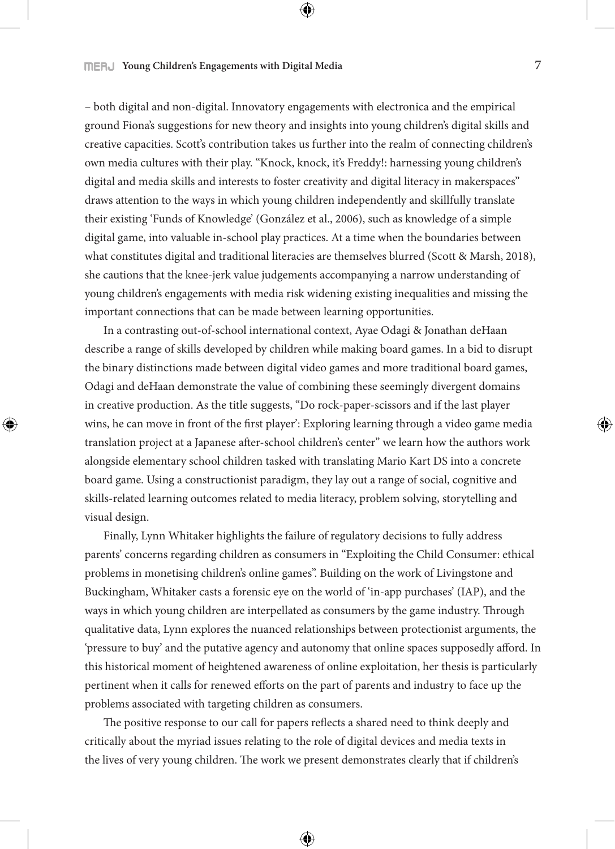– both digital and non-digital. Innovatory engagements with electronica and the empirical ground Fiona's suggestions for new theory and insights into young children's digital skills and creative capacities. Scott's contribution takes us further into the realm of connecting children's own media cultures with their play. "Knock, knock, it's Freddy!: harnessing young children's digital and media skills and interests to foster creativity and digital literacy in makerspaces" draws attention to the ways in which young children independently and skillfully translate their existing 'Funds of Knowledge' (González et al., 2006), such as knowledge of a simple digital game, into valuable in-school play practices. At a time when the boundaries between what constitutes digital and traditional literacies are themselves blurred (Scott & Marsh, 2018), she cautions that the knee-jerk value judgements accompanying a narrow understanding of young children's engagements with media risk widening existing inequalities and missing the important connections that can be made between learning opportunities.

In a contrasting out-of-school international context, Ayae Odagi & Jonathan deHaan describe a range of skills developed by children while making board games. In a bid to disrupt the binary distinctions made between digital video games and more traditional board games, Odagi and deHaan demonstrate the value of combining these seemingly divergent domains in creative production. As the title suggests, "Do rock-paper-scissors and if the last player wins, he can move in front of the first player': Exploring learning through a video game media translation project at a Japanese after-school children's center" we learn how the authors work alongside elementary school children tasked with translating Mario Kart DS into a concrete board game. Using a constructionist paradigm, they lay out a range of social, cognitive and skills-related learning outcomes related to media literacy, problem solving, storytelling and visual design.

Finally, Lynn Whitaker highlights the failure of regulatory decisions to fully address parents' concerns regarding children as consumers in "Exploiting the Child Consumer: ethical problems in monetising children's online games". Building on the work of Livingstone and Buckingham, Whitaker casts a forensic eye on the world of 'in-app purchases' (IAP), and the ways in which young children are interpellated as consumers by the game industry. Through qualitative data, Lynn explores the nuanced relationships between protectionist arguments, the 'pressure to buy' and the putative agency and autonomy that online spaces supposedly afford. In this historical moment of heightened awareness of online exploitation, her thesis is particularly pertinent when it calls for renewed efforts on the part of parents and industry to face up the problems associated with targeting children as consumers.

The positive response to our call for papers reflects a shared need to think deeply and critically about the myriad issues relating to the role of digital devices and media texts in the lives of very young children. The work we present demonstrates clearly that if children's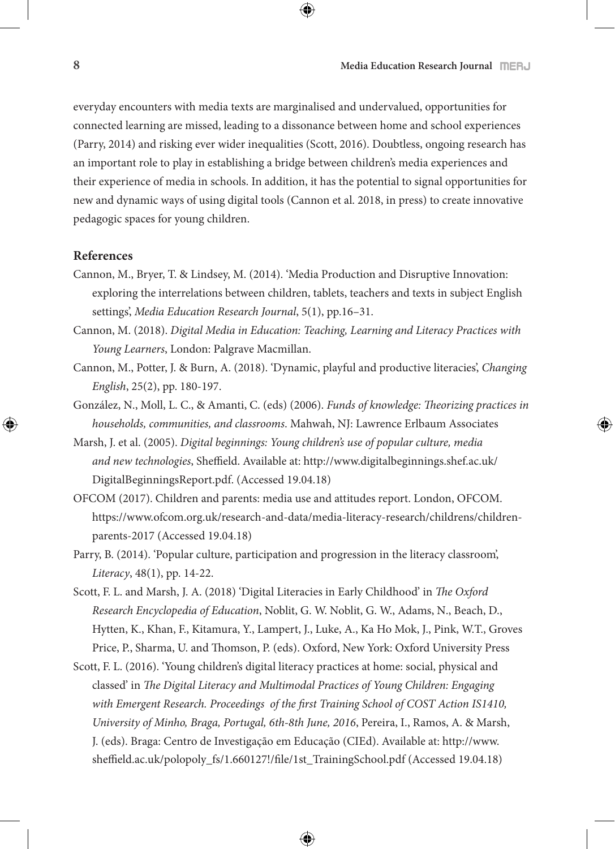everyday encounters with media texts are marginalised and undervalued, opportunities for connected learning are missed, leading to a dissonance between home and school experiences (Parry, 2014) and risking ever wider inequalities (Scott, 2016). Doubtless, ongoing research has an important role to play in establishing a bridge between children's media experiences and their experience of media in schools. In addition, it has the potential to signal opportunities for new and dynamic ways of using digital tools (Cannon et al. 2018, in press) to create innovative pedagogic spaces for young children.

## **References**

- Cannon, M., Bryer, T. & Lindsey, M. (2014). 'Media Production and Disruptive Innovation: exploring the interrelations between children, tablets, teachers and texts in subject English settings', *Media Education Research Journal*, 5(1), pp.16–31.
- Cannon, M. (2018). *Digital Media in Education: Teaching, Learning and Literacy Practices with Young Learners*, London: Palgrave Macmillan.
- Cannon, M., Potter, J. & Burn, A. (2018). 'Dynamic, playful and productive literacies', *Changing English*, 25(2), pp. 180-197.
- González, N., Moll, L. C., & Amanti, C. (eds) (2006). *Funds of knowledge: Theorizing practices in households, communities, and classrooms*. Mahwah, NJ: Lawrence Erlbaum Associates
- Marsh, J. et al. (2005). *Digital beginnings: Young children's use of popular culture, media and new technologies*, Sheffield. Available at: http://www.digitalbeginnings.shef.ac.uk/ DigitalBeginningsReport.pdf. (Accessed 19.04.18)
- OFCOM (2017). Children and parents: media use and attitudes report. London, OFCOM. https://www.ofcom.org.uk/research-and-data/media-literacy-research/childrens/childrenparents-2017 (Accessed 19.04.18)
- Parry, B. (2014). 'Popular culture, participation and progression in the literacy classroom', *Literacy*, 48(1), pp. 14-22.
- Scott, F. L. and Marsh, J. A. (2018) 'Digital Literacies in Early Childhood' in *The Oxford Research Encyclopedia of Education*, Noblit, G. W. Noblit, G. W., Adams, N., Beach, D., Hytten, K., Khan, F., Kitamura, Y., Lampert, J., Luke, A., Ka Ho Mok, J., Pink, W.T., Groves Price, P., Sharma, U. and Thomson, P. (eds). Oxford, New York: Oxford University Press
- Scott, F. L. (2016). 'Young children's digital literacy practices at home: social, physical and classed' in *The Digital Literacy and Multimodal Practices of Young Children: Engaging with Emergent Research. Proceedings of the first Training School of COST Action IS1410, University of Minho, Braga, Portugal, 6th-8th June, 2016*, Pereira, I., Ramos, A. & Marsh, J. (eds). Braga: Centro de Investigação em Educação (CIEd). Available at: http://www. sheffield.ac.uk/polopoly\_fs/1.660127!/file/1st\_TrainingSchool.pdf (Accessed 19.04.18)